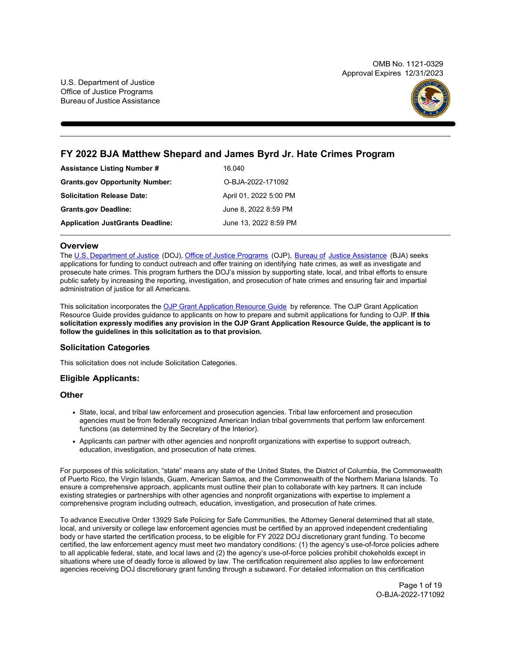OMB No. 1121-0329 Approval Expires 12/31/2023



# **FY 2022 BJA Matthew Shepard and James Byrd Jr. Hate Crimes Program**

| <b>Assistance Listing Number #</b>      | 16.040                 |
|-----------------------------------------|------------------------|
| <b>Grants.gov Opportunity Number:</b>   | O-BJA-2022-171092      |
| <b>Solicitation Release Date:</b>       | April 01, 2022 5:00 PM |
| <b>Grants.gov Deadline:</b>             | June 8, 2022 8:59 PM   |
| <b>Application JustGrants Deadline:</b> | June 13, 2022 8:59 PM  |

# **Overview**

The [U.S. Department of Justice](https://www.usdoj.gov/) (DOJ)[, Office of Justice Programs](https://www.ojp.usdoj.gov/) (OJP), [Bureau of](https://bja.ojp.gov/) [Justice Assistance](https://bja.ojp.gov/) (BJA) seeks applications for funding to conduct outreach and offer training on identifying hate crimes, as well as investigate and prosecute hate crimes. This program furthers the DOJ's mission by supporting state, local, and tribal efforts to ensure public safety by increasing the reporting, investigation, and prosecution of hate crimes and ensuring fair and impartial administration of justice for all Americans.

This solicitation incorporates the [OJP Grant Application Resource Guide](https://www.ojp.gov/funding/Apply/Resources/Grant-App-Resource-Guide.htm) by reference. The OJP Grant Application Resource Guide provides guidance to applicants on how to prepare and submit applications for funding to OJP. **If this solicitation expressly modifies any provision in the OJP Grant Application Resource Guide, the applicant is to follow the guidelines in this solicitation as to that provision.**

# **Solicitation Categories**

This solicitation does not include Solicitation Categories.

# **Eligible Applicants:**

# **Other**

- State, local, and tribal law enforcement and prosecution agencies. Tribal law enforcement and prosecution agencies must be from federally recognized American Indian tribal governments that perform law enforcement functions (as determined by the Secretary of the Interior).
- Applicants can partner with other agencies and nonprofit organizations with expertise to support outreach, education, investigation, and prosecution of hate crimes.

For purposes of this solicitation, "state" means any state of the United States, the District of Columbia, the Commonwealth of Puerto Rico, the Virgin Islands, Guam, American Samoa, and the Commonwealth of the Northern Mariana Islands. To ensure a comprehensive approach, applicants must outline their plan to collaborate with key partners. It can include existing strategies or partnerships with other agencies and nonprofit organizations with expertise to implement a comprehensive program including outreach, education, investigation, and prosecution of hate crimes.

To advance Executive Order 13929 Safe Policing for Safe Communities, the Attorney General determined that all state, local, and university or college law enforcement agencies must be certified by an approved independent credentialing body or have started the certification process, to be eligible for FY 2022 DOJ discretionary grant funding. To become certified, the law enforcement agency must meet two mandatory conditions: (1) the agency's use-of-force policies adhere to all applicable federal, state, and local laws and (2) the agency's use-of-force policies prohibit chokeholds except in situations where use of deadly force is allowed by law. The certification requirement also applies to law enforcement agencies receiving DOJ discretionary grant funding through a subaward. For detailed information on this certification

> Page 1 of 19 O-BJA-2022-171092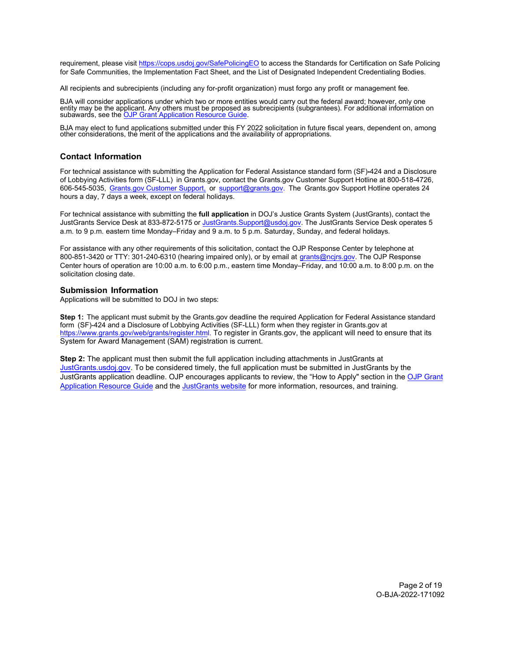requirement, please visit <https://cops.usdoj.gov/SafePolicingEO> to access the Standards for Certification on Safe Policing for Safe Communities, the Implementation Fact Sheet, and the List of Designated Independent Credentialing Bodies.

All recipients and subrecipients (including any for-profit organization) must forgo any profit or management fee.

BJA will consider applications under which two or more entities would carry out the federal award; however, only one<br>entity may be the applicant. Any others must be proposed as subrecipients (subgrantees). For additional i

BJA may elect to fund applications submitted under this FY 2022 solicitation in future fiscal years, dependent on, among other considerations, the merit of the applications and the availability of appropriations.

# <span id="page-1-0"></span>**Contact Information**

For technical assistance with submitting the Application for Federal Assistance standard form (SF)**-**424 and a Disclosure of Lobbying Activities form (SF-LLL) in Grants.gov, contact the Grants.gov Customer Support Hotline at 800-518-4726, 606-545-5035, [Grants.gov Customer Support,](https://www.grants.gov/web/grants/support.html) or [support@grants.gov.](mailto:support@grants.gov) The Grants.gov Support Hotline operates 24 hours a day, 7 days a week, except on federal holidays.

For technical assistance with submitting the **full application** in DOJ's Justice Grants System (JustGrants), contact the JustGrants Service Desk at 833-872-5175 or [JustGrants.Support@usdoj.gov.](mailto:JustGrants.Support@usdoj.gov) The JustGrants Service Desk operates 5 a.m. to 9 p.m. eastern time Monday–Friday and 9 a.m. to 5 p.m. Saturday, Sunday, and federal holidays.

For assistance with any other requirements of this solicitation, contact the OJP Response Center by telephone at 800-851-3420 or TTY: 301-240-6310 (hearing impaired only), or by email at [grants@ncjrs.gov.](mailto:grants@ncjrs.gov) The OJP Response Center hours of operation are 10:00 a.m. to 6:00 p.m., eastern time Monday–Friday, and 10:00 a.m. to 8:00 p.m. on the solicitation closing date.

### **Submission Information**

Applications will be submitted to DOJ in two steps:

**Step 1:** The applicant must submit by the Grants.gov deadline the required Application for Federal Assistance standard form (SF)-424 and a Disclosure of Lobbying Activities (SF-LLL) form when they register in Grants.gov at [https://www.grants.gov/web/grants/register.html.](https://www.grants.gov/web/grants/register.html) To register in Grants.gov, the applicant will need to ensure that its System for Award Management (SAM) registration is current.

**Step 2:** The applicant must then submit the full application including attachments in JustGrants at [JustGrants.usdoj.gov.](https://justicegrants.usdoj.gov/) To be considered timely, the full application must be submitted in JustGrants by the JustGrants application deadline. OJP encourages applicants to review, the "How to Apply" section in the [OJP Grant](https://www.ojp.gov/funding/apply/ojp-grant-application-resource-guide#apply)  [Application Resource Guide](https://www.ojp.gov/funding/apply/ojp-grant-application-resource-guide#apply) and th[e JustGrants website](https://justicegrants.usdoj.gov/news) for more information, resources, and training.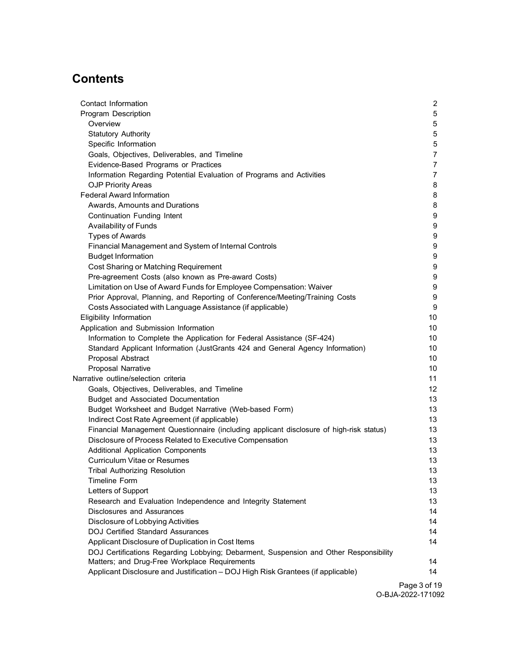# **Contents**

| Contact Information                                                                     | $\overline{2}$ |
|-----------------------------------------------------------------------------------------|----------------|
| Program Description                                                                     | 5              |
| Overview                                                                                | 5              |
| <b>Statutory Authority</b>                                                              | 5              |
| Specific Information                                                                    | $\sqrt{5}$     |
| Goals, Objectives, Deliverables, and Timeline                                           | $\overline{7}$ |
| Evidence-Based Programs or Practices                                                    | $\overline{7}$ |
| Information Regarding Potential Evaluation of Programs and Activities                   | $\overline{7}$ |
| <b>OJP Priority Areas</b>                                                               | 8              |
| <b>Federal Award Information</b>                                                        | 8              |
| Awards, Amounts and Durations                                                           | 8              |
| Continuation Funding Intent                                                             | 9              |
| Availability of Funds                                                                   | 9              |
| <b>Types of Awards</b>                                                                  | 9              |
| Financial Management and System of Internal Controls                                    | 9              |
| <b>Budget Information</b>                                                               | 9              |
| Cost Sharing or Matching Requirement                                                    | 9              |
| Pre-agreement Costs (also known as Pre-award Costs)                                     | 9              |
| Limitation on Use of Award Funds for Employee Compensation: Waiver                      | 9              |
| Prior Approval, Planning, and Reporting of Conference/Meeting/Training Costs            | 9              |
| Costs Associated with Language Assistance (if applicable)                               | 9              |
| Eligibility Information                                                                 | 10             |
| Application and Submission Information                                                  | 10             |
| Information to Complete the Application for Federal Assistance (SF-424)                 | 10             |
| Standard Applicant Information (JustGrants 424 and General Agency Information)          | 10             |
| Proposal Abstract                                                                       | 10             |
| <b>Proposal Narrative</b>                                                               | 10             |
| Narrative outline/selection criteria                                                    | 11             |
| Goals, Objectives, Deliverables, and Timeline                                           | 12             |
| <b>Budget and Associated Documentation</b>                                              | 13             |
| Budget Worksheet and Budget Narrative (Web-based Form)                                  | 13             |
| Indirect Cost Rate Agreement (if applicable)                                            | 13             |
| Financial Management Questionnaire (including applicant disclosure of high-risk status) | 13             |
| Disclosure of Process Related to Executive Compensation                                 | 13             |
| <b>Additional Application Components</b>                                                | 13             |
| <b>Curriculum Vitae or Resumes</b>                                                      | 13             |
| <b>Tribal Authorizing Resolution</b>                                                    | 13             |
| Timeline Form                                                                           | 13             |
| Letters of Support                                                                      | 13             |
| Research and Evaluation Independence and Integrity Statement                            | 13             |
| Disclosures and Assurances                                                              | 14             |
| Disclosure of Lobbying Activities                                                       | 14             |
| <b>DOJ Certified Standard Assurances</b>                                                | 14             |
| Applicant Disclosure of Duplication in Cost Items                                       | 14             |
| DOJ Certifications Regarding Lobbying; Debarment, Suspension and Other Responsibility   |                |
| Matters; and Drug-Free Workplace Requirements                                           | 14             |
| Applicant Disclosure and Justification - DOJ High Risk Grantees (if applicable)         | 14             |

Page 3 of 19 O-BJA-2022-171092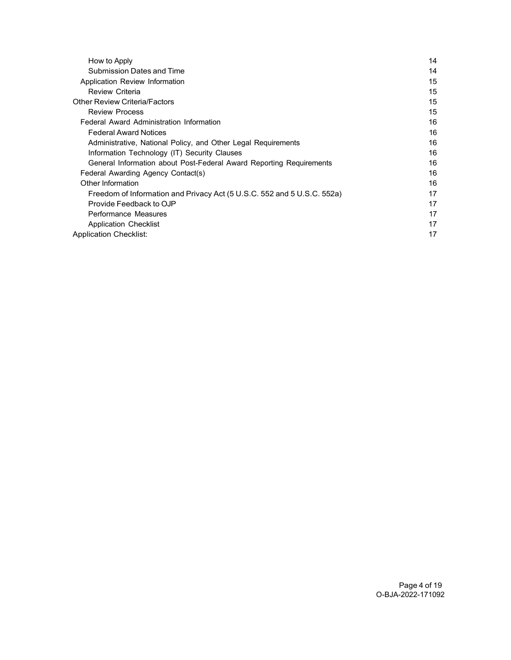| 14 |
|----|
| 14 |
| 15 |
| 15 |
| 15 |
| 15 |
| 16 |
| 16 |
| 16 |
| 16 |
| 16 |
| 16 |
| 16 |
| 17 |
| 17 |
| 17 |
| 17 |
| 17 |
|    |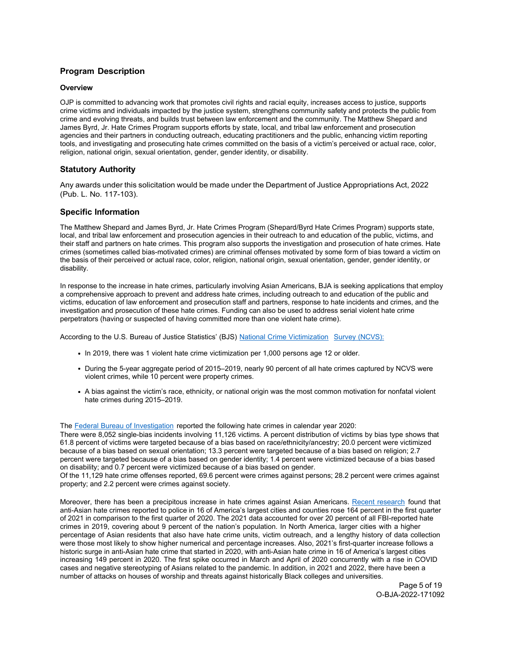# <span id="page-4-0"></span>**Program Description**

### <span id="page-4-1"></span>**Overview**

OJP is committed to advancing work that promotes civil rights and racial equity, increases access to justice, supports crime victims and individuals impacted by the justice system, strengthens community safety and protects the public from crime and evolving threats, and builds trust between law enforcement and the community. The Matthew Shepard and James Byrd, Jr. Hate Crimes Program supports efforts by state, local, and tribal law enforcement and prosecution agencies and their partners in conducting outreach, educating practitioners and the public, enhancing victim reporting tools, and investigating and prosecuting hate crimes committed on the basis of a victim's perceived or actual race, color, religion, national origin, sexual orientation, gender, gender identity, or disability.

# <span id="page-4-2"></span>**Statutory Authority**

Any awards under this solicitation would be made under the Department of Justice Appropriations Act, 2022 (Pub. L. No. 117-103).

# <span id="page-4-3"></span>**Specific Information**

The Matthew Shepard and James Byrd, Jr. Hate Crimes Program (Shepard/Byrd Hate Crimes Program) supports state, local, and tribal law enforcement and prosecution agencies in their outreach to and education of the public, victims, and their staff and partners on hate crimes. This program also supports the investigation and prosecution of hate crimes. Hate crimes (sometimes called bias-motivated crimes) are criminal offenses motivated by some form of bias toward a victim on the basis of their perceived or actual race, color, religion, national origin, sexual orientation, gender, gender identity, or disability.

In response to the increase in hate crimes, particularly involving Asian Americans, BJA is seeking applications that employ a comprehensive approach to prevent and address hate crimes, including outreach to and education of the public and victims, education of law enforcement and prosecution staff and partners, response to hate incidents and crimes, and the investigation and prosecution of these hate crimes. Funding can also be used to address serial violent hate crime perpetrators (having or suspected of having committed more than one violent hate crime).

According to the U.S. Bureau of Justice Statistics' (BJS) [National Crime Victimization](https://bjs.ojp.gov/sites/g/files/xyckuh236/files/media/document/hcv0519_sum_3.pdf) [Survey \(NCVS\):](https://bjs.ojp.gov/sites/g/files/xyckuh236/files/media/document/hcv0519_sum_3.pdf)

- In 2019, there was 1 violent hate crime victimization per 1,000 persons age 12 or older.
- During the 5-year aggregate period of 2015–2019, nearly 90 percent of all hate crimes captured by NCVS were violent crimes, while 10 percent were property crimes.
- A bias against the victim's race, ethnicity, or national origin was the most common motivation for nonfatal violent hate crimes during 2015–2019.

The [Federal Bureau of Investigation r](https://www.fbi.gov/news/pressrel/press-releases/fbi-releases-updated-2020-hate-crime-statistics)eported the following hate crimes in calendar year 2020:

There were 8,052 single-bias incidents involving 11,126 victims. A percent distribution of victims by bias type shows that 61.8 percent of victims were targeted because of a bias based on race/ethnicity/ancestry; 20.0 percent were victimized because of a bias based on sexual orientation; 13.3 percent were targeted because of a bias based on religion; 2.7 percent were targeted because of a bias based on gender identity; 1.4 percent were victimized because of a bias based on disability; and 0.7 percent were victimized because of a bias based on gender.

Of the 11,129 hate crime offenses reported, 69.6 percent were crimes against persons; 28.2 percent were crimes against property; and 2.2 percent were crimes against society.

Moreover, there has been a precipitous increase in hate crimes against Asian Americans. [Recent research fo](https://www.csusb.edu/sites/default/files/Report%20to%20the%20Nation%20-%20Anti-Asian%20Hate%202020%20Final%20Draft%20-%20As%20of%20Apr%2028%202021%2010%20AM%20corrected.pdf)und that anti-Asian hate crimes reported to police in 16 of America's largest cities and counties rose 164 percent in the first quarter of 2021 in comparison to the first quarter of 2020. The 2021 data accounted for over 20 percent of all FBI-reported hate crimes in 2019, covering about 9 percent of the nation's population. In North America, larger cities with a higher percentage of Asian residents that also have hate crime units, victim outreach, and a lengthy history of data collection were those most likely to show higher numerical and percentage increases. Also, 2021's first-quarter increase follows a historic surge in anti-Asian hate crime that started in 2020, with anti-Asian hate crime in 16 of America's largest cities increasing 149 percent in 2020. The first spike occurred in March and April of 2020 concurrently with a rise in COVID cases and negative stereotyping of Asians related to the pandemic. In addition, in 2021 and 2022, there have been a number of attacks on houses of worship and threats against historically Black colleges and universities.

Page 5 of 19 O-BJA-2022-171092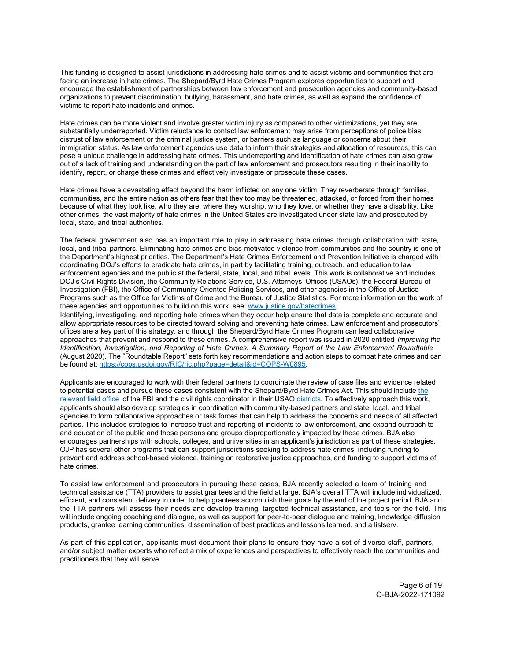This funding is designed to assist jurisdictions in addressing hate crimes and to assist victims and communities that are facing an increase in hate crimes. The Shepard/Byrd Hate Crimes Program explores opportunities to support and encourage the establishment of partnerships between law enforcement and prosecution agencies and community-based organizations to prevent discrimination, bullying, harassment, and hate crimes, as well as expand the confidence of victims to report hate incidents and crimes.

Hate crimes can be more violent and involve greater victim injury as compared to other victimizations, yet they are substantially underreported. Victim reluctance to contact law enforcement may arise from perceptions of police bias, distrust of law enforcement or the criminal justice system, or barriers such as language or concerns about their immigration status. As law enforcement agencies use data to inform their strategies and allocation of resources, this can pose a unique challenge in addressing hate crimes. This underreporting and identification of hate crimes can also grow out of a lack of training and understanding on the part of law enforcement and prosecutors resulting in their inability to identify, report, or charge these crimes and effectively investigate or prosecute these cases.

Hate crimes have a devastating effect beyond the harm inflicted on any one victim. They reverberate through families, communities, and the entire nation as others fear that they too may be threatened, attacked, or forced from their homes because of what they look like, who they are, where they worship, who they love, or whether they have a disability. Like other crimes, the vast majority of hate crimes in the United States are investigated under state law and prosecuted by local, state, and tribal authorities.

The federal government also has an important role to play in addressing hate crimes through collaboration with state, local, and tribal partners. Eliminating hate crimes and bias-motivated violence from communities and the country is one of the Department's highest priorities. The Department's Hate Crimes Enforcement and Prevention Initiative is charged with coordinating DOJ's efforts to eradicate hate crimes, in part by facilitating training, outreach, and education to law enforcement agencies and the public at the federal, state, local, and tribal levels. This work is collaborative and includes DOJ's Civil Rights Division, the Community Relations Service, U.S. Attorneys' Offices (USAOs), the Federal Bureau of Investigation (FBI), the Office of Community Oriented Policing Services, and other agencies in the Office of Justice Programs such as the Office for Victims of Crime and the Bureau of Justice Statistics. For more information on the work of these agencies and opportunities to build on this work, see: www.justice.gov/hatecrimes.

Identifying, investigating, and reporting hate crimes when they occur help ensure that data is complete and accurate and allow appropriate resources to be directed toward solving and preventing hate crimes. Law enforcement and prosecutors' offices are a key part of this strategy, and through the Shepard/Byrd Hate Crimes Program can lead collaborative approaches that prevent and respond to these crimes. A comprehensive report was issued in 2020 entitled *Improving the Identification, Investigation, and Reporting of Hate Crimes: A Summary Report of the Law Enforcement Roundtable*  (August 2020). The "Roundtable Report" sets forth key recommendations and action steps to combat hate crimes and can be found at: [https://cops.usdoj.gov/RIC/ric.php?page=detail&id=COPS-W0895.](https://cops.usdoj.gov/RIC/ric.php?page=detail&id=COPS-W0895) 

Applicants are encouraged to work with their federal partners to coordinate the review of case files and evidence related to potential cases and pursue these cases consistent with the Shepard/Byrd Hate Crimes Act. This should includ[e the](https://www.fbi.gov/contact-us/field-offices) [relevant field office](https://www.fbi.gov/contact-us/field-offices) of the FBI and the civil rights coordinator in their USA[O districts.](https://www.justice.gov/usao/find-your-united-states-attorney) To effectively approach this work, applicants should also develop strategies in coordination with community-based partners and state, local, and tribal agencies to form collaborative approaches or task forces that can help to address the concerns and needs of all affected parties. This includes strategies to increase trust and reporting of incidents to law enforcement, and expand outreach to and education of the public and those persons and groups disproportionately impacted by these crimes. BJA also encourages partnerships with schools, colleges, and universities in an applicant's jurisdiction as part of these strategies. OJP has several other programs that can support jurisdictions seeking to address hate crimes, including funding to prevent and address school-based violence, training on restorative justice approaches, and funding to support victims of hate crimes.

To assist law enforcement and prosecutors in pursuing these cases, BJA recently selected a team of training and technical assistance (TTA) providers to assist grantees and the field at large. BJA's overall TTA will include individualized, efficient, and consistent delivery in order to help grantees accomplish their goals by the end of the project period. BJA and the TTA partners will assess their needs and develop training, targeted technical assistance, and tools for the field. This will include ongoing coaching and dialogue, as well as support for peer-to-peer dialogue and training, knowledge diffusion products, grantee learning communities, dissemination of best practices and lessons learned, and a listserv.

As part of this application, applicants must document their plans to ensure they have a set of diverse staff, partners, and/or subject matter experts who reflect a mix of experiences and perspectives to effectively reach the communities and practitioners that they will serve.

> Page 6 of 19 O-BJA-2022-171092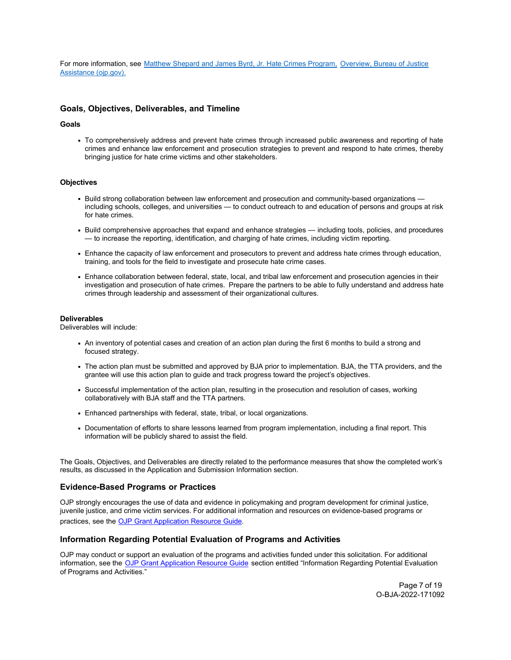For more information, see [Matthew Shepard and James Byrd, Jr. Hate Crimes Program,](https://bja.ojp.gov/program/shepard-byrd-hate-crimes-program/overview) [Overview, Bureau of Justice](https://bja.ojp.gov/program/shepard-byrd-hate-crimes-program/overview) [Assistance \(ojp.gov\).](https://bja.ojp.gov/program/shepard-byrd-hate-crimes-program/overview)

# <span id="page-6-0"></span>**Goals, Objectives, Deliverables, and Timeline**

#### **Goals**

To comprehensively address and prevent hate crimes through increased public awareness and reporting of hate crimes and enhance law enforcement and prosecution strategies to prevent and respond to hate crimes, thereby bringing justice for hate crime victims and other stakeholders.

#### **Objectives**

- Build strong collaboration between law enforcement and prosecution and community-based organizations including schools, colleges, and universities — to conduct outreach to and education of persons and groups at risk for hate crimes.
- Build comprehensive approaches that expand and enhance strategies including tools, policies, and procedures — to increase the reporting, identification, and charging of hate crimes, including victim reporting.
- Enhance the capacity of law enforcement and prosecutors to prevent and address hate crimes through education, training, and tools for the field to investigate and prosecute hate crime cases.
- Enhance collaboration between federal, state, local, and tribal law enforcement and prosecution agencies in their investigation and prosecution of hate crimes. Prepare the partners to be able to fully understand and address hate crimes through leadership and assessment of their organizational cultures.

#### **Deliverables**

Deliverables will include:

- An inventory of potential cases and creation of an action plan during the first 6 months to build a strong and focused strategy.
- The action plan must be submitted and approved by BJA prior to implementation. BJA, the TTA providers, and the grantee will use this action plan to guide and track progress toward the project's objectives.
- Successful implementation of the action plan, resulting in the prosecution and resolution of cases, working collaboratively with BJA staff and the TTA partners.
- Enhanced partnerships with federal, state, tribal, or local organizations.
- Documentation of efforts to share lessons learned from program implementation, including a final report. This information will be publicly shared to assist the field.

The Goals, Objectives, and Deliverables are directly related to the performance measures that show the completed work's results, as discussed in the Application and Submission Information section.

#### <span id="page-6-1"></span>**Evidence-Based Programs or Practices**

OJP strongly encourages the use of data and evidence in policymaking and program development for criminal justice, juvenile justice, and crime victim services. For additional information and resources on evidence-based programs or practices, see the [OJP Grant](https://www.ojp.gov/funding/apply/ojp-grant-application-resource-guide#evidence-based) [Application Resource Guide.](https://www.ojp.gov/funding/apply/ojp-grant-application-resource-guide#evidence-based)

#### <span id="page-6-2"></span>**Information Regarding Potential Evaluation of Programs and Activities**

OJP may conduct or support an evaluation of the programs and activities funded under this solicitation. For additional information, see the [OJP Grant Application Resource Guide](https://www.ojp.gov/funding/apply/ojp-grant-application-resource-guide#potential-evaluation) section entitled "Information Regarding Potential Evaluation of Programs and Activities."

> Page 7 of 19 O-BJA-2022-171092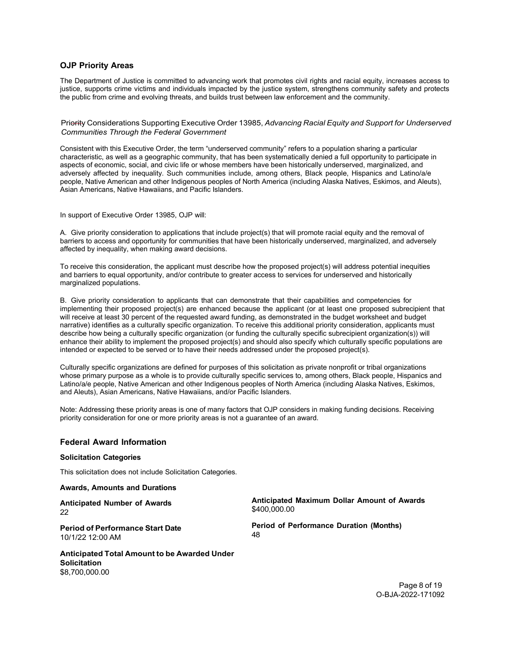### <span id="page-7-0"></span>**OJP Priority Areas**

The Department of Justice is committed to advancing work that promotes civil rights and racial equity, increases access to justice, supports crime victims and individuals impacted by the justice system, strengthens community safety and protects the public from crime and evolving threats, and builds trust between law enforcement and the community.

Priority Considerations Supporting Executive Order 13985, *Advancing Racial Equity and Support for Underserved Communities Through the Federal Government*

Consistent with this Executive Order, the term "underserved community" refers to a population sharing a particular characteristic, as well as a geographic community, that has been systematically denied a full opportunity to participate in aspects of economic, social, and civic life or whose members have been historically underserved, marginalized, and adversely affected by inequality. Such communities include, among others, Black people, Hispanics and Latino/a/e people, Native American and other Indigenous peoples of North America (including Alaska Natives, Eskimos, and Aleuts), Asian Americans, Native Hawaiians, and Pacific Islanders.

In support of Executive Order 13985, OJP will:

A. Give priority consideration to applications that include project(s) that will promote racial equity and the removal of barriers to access and opportunity for communities that have been historically underserved, marginalized, and adversely affected by inequality, when making award decisions.

To receive this consideration, the applicant must describe how the proposed project(s) will address potential inequities and barriers to equal opportunity, and/or contribute to greater access to services for underserved and historically marginalized populations.

B. Give priority consideration to applicants that can demonstrate that their capabilities and competencies for implementing their proposed project(s) are enhanced because the applicant (or at least one proposed subrecipient that will receive at least 30 percent of the requested award funding, as demonstrated in the budget worksheet and budget narrative) identifies as a culturally specific organization. To receive this additional priority consideration, applicants must describe how being a culturally specific organization (or funding the culturally specific subrecipient organization(s)) will enhance their ability to implement the proposed project(s) and should also specify which culturally specific populations are intended or expected to be served or to have their needs addressed under the proposed project(s).

Culturally specific organizations are defined for purposes of this solicitation as private nonprofit or tribal organizations whose primary purpose as a whole is to provide culturally specific services to, among others, Black people, Hispanics and Latino/a/e people, Native American and other Indigenous peoples of North America (including Alaska Natives, Eskimos, and Aleuts), Asian Americans, Native Hawaiians, and/or Pacific Islanders.

Note: Addressing these priority areas is one of many factors that OJP considers in making funding decisions. Receiving priority consideration for one or more priority areas is not a guarantee of an award.

#### <span id="page-7-1"></span>**Federal Award Information**

#### **Solicitation Categories**

This solicitation does not include Solicitation Categories.

<span id="page-7-2"></span>**Awards, Amounts and Durations**

**Anticipated Number of Awards** 22

**Anticipated Maximum Dollar Amount of Awards** \$400,000.00

**Period of Performance Start Date** 10/1/22 12:00 AM

**Anticipated Total Amount to be Awarded Under Solicitation** \$8,700,000.00

**Period of Performance Duration (Months)** 48

> Page 8 of 19 O-BJA-2022-171092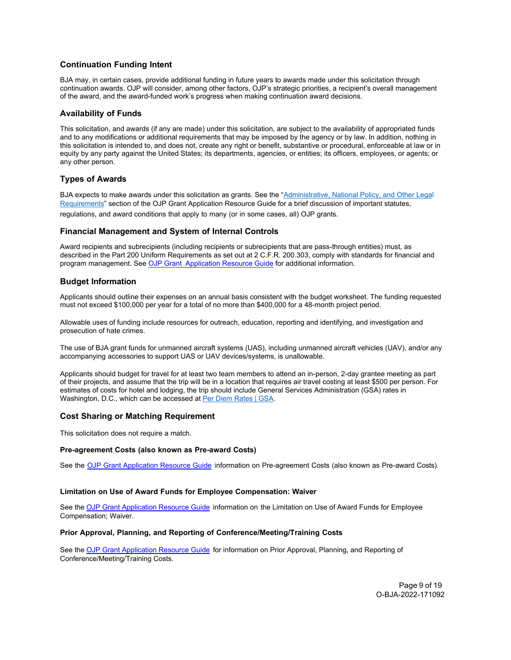# <span id="page-8-0"></span>**Continuation Funding Intent**

BJA may, in certain cases, provide additional funding in future years to awards made under this solicitation through continuation awards. OJP will consider, among other factors, OJP's strategic priorities, a recipient's overall management of the award, and the award-funded work's progress when making continuation award decisions.

# <span id="page-8-1"></span>**Availability of Funds**

This solicitation, and awards (if any are made) under this solicitation, are subject to the availability of appropriated funds and to any modifications or additional requirements that may be imposed by the agency or by law. In addition, nothing in this solicitation is intended to, and does not, create any right or benefit, substantive or procedural, enforceable at law or in equity by any party against the United States; its departments, agencies, or entities; its officers, employees, or agents; or any other person.

# <span id="page-8-2"></span>**Types of Awards**

BJA expects to make awards under this solicitation as grants. See the ["Administrative, National Policy, and Other Legal](https://www.ojp.gov/funding/apply/ojp-grant-application-resource-guide#administrative) [Requirements"](https://www.ojp.gov/funding/apply/ojp-grant-application-resource-guide#administrative) section of the OJP Grant Application Resource Guide for a brief discussion of important statutes, regulations, and award conditions that apply to many (or in some cases, all) OJP grants.

# <span id="page-8-3"></span>**Financial Management and System of Internal Controls**

Award recipients and subrecipients (including recipients or subrecipients that are pass-through entities) must, as described in the Part 200 Uniform Requirements as set out at 2 C.F.R. 200.303, comply with standards for financial and program management. See [OJP Grant Application Resource Guide](https://www.ojp.gov/funding/apply/ojp-grant-application-resource-guide#fm-internal-controls) for additional information.

# <span id="page-8-4"></span>**Budget Information**

Applicants should outline their expenses on an annual basis consistent with the budget worksheet. The funding requested must not exceed \$100,000 per year for a total of no more than \$400,000 for a 48-month project period.

Allowable uses of funding include resources for outreach, education, reporting and identifying, and investigation and prosecution of hate crimes.

The use of BJA grant funds for unmanned aircraft systems (UAS), including unmanned aircraft vehicles (UAV), and/or any accompanying accessories to support UAS or UAV devices/systems, is unallowable.

Applicants should budget for travel for at least two team members to attend an in-person, 2-day grantee meeting as part of their projects, and assume that the trip will be in a location that requires air travel costing at least \$500 per person. For estimates of costs for hotel and lodging, the trip should include General Services Administration (GSA) rates in Washington, D.C., which can be accessed at [Per Diem Rates | GSA.](https://www.gsa.gov/travel/plan-book/per-diem-rates)

# <span id="page-8-5"></span>**Cost Sharing or Matching Requirement**

This solicitation does not require a match.

#### <span id="page-8-6"></span>**Pre-agreement Costs (also known as Pre-award Costs)**

See the [OJP Grant Application Resource Guide](https://www.ojp.gov/funding/apply/ojp-grant-application-resource-guide#pre-agreement-costs) information on Pre-agreement Costs (also known as Pre-award Costs).

#### <span id="page-8-7"></span>**Limitation on Use of Award Funds for Employee Compensation: Waiver**

See th[e OJP Grant Application Resource Guide](https://www.ojp.gov/funding/apply/ojp-grant-application-resource-guide#limitation-use-award) information on the Limitation on Use of Award Funds for Employee Compensation; Waiver.

#### <span id="page-8-8"></span>**Prior Approval, Planning, and Reporting of Conference/Meeting/Training Costs**

<span id="page-8-9"></span>See th[e OJP Grant Application Resource Guide](https://www.ojp.gov/funding/apply/ojp-grant-application-resource-guide#prior-approval) for information on Prior Approval, Planning, and Reporting of Conference/Meeting/Training Costs.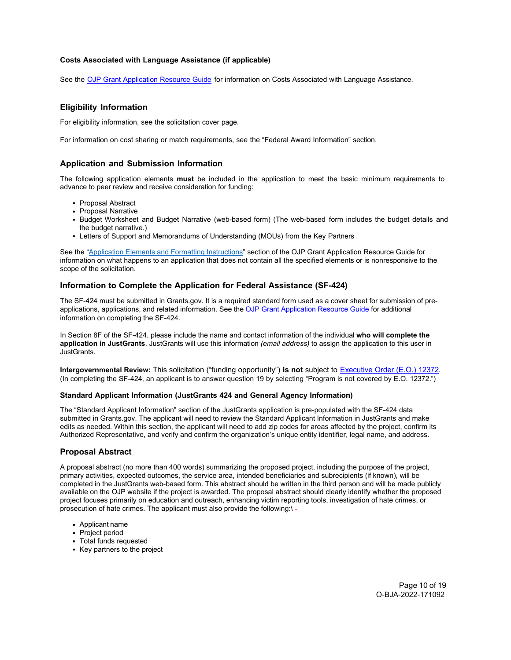### **Costs Associated with Language Assistance (if applicable)**

See the [OJP Grant Application Resource Guide](https://www.ojp.gov/funding/apply/ojp-grant-application-resource-guide#costs-associated) for information on Costs Associated with Language Assistance.

# <span id="page-9-0"></span>**Eligibility Information**

For eligibility information, see the solicitation cover page.

For information on cost sharing or match requirements, see the "Federal Award Information" section.

### <span id="page-9-1"></span>**Application and Submission Information**

The following application elements **must** be included in the application to meet the basic minimum requirements to advance to peer review and receive consideration for funding:

- Proposal Abstract
- Proposal Narrative
- Budget Worksheet and Budget Narrative (web-based form) (The web-based form includes the budget details and the budget narrative.)
- Letters of Support and Memorandums of Understanding (MOUs) from the Key Partners

See the ["Application Elements and Formatting Instructions"](https://www.ojp.gov/funding/apply/ojp-grant-application-resource-guide#application-elements) section of the OJP Grant Application Resource Guide for information on what happens to an application that does not contain all the specified elements or is nonresponsive to the scope of the solicitation.

# <span id="page-9-2"></span>**Information to Complete the Application for Federal Assistance (SF-424)**

The SF-424 must be submitted in Grants.gov. It is a required standard form used as a cover sheet for submission of preapplications, applications, and related information. See th[e OJP Grant Application Resource Guide](https://www.ojp.gov/funding/apply/ojp-grant-application-resource-guide#complete-application) for additional information on completing the SF-424.

In Section 8F of the SF-424, please include the name and contact information of the individual **who will complete the application in JustGrants**. JustGrants will use this information *(email address)* to assign the application to this user in JustGrants.

**Intergovernmental Review:** This solicitation ("funding opportunity") **is not** subject to [Executive Order](https://www.archives.gov/federal-register/codification/executive-order/12372.html) (E.O.) 12372. (In completing the SF-424, an applicant is to answer question 19 by selecting "Program is not covered by E.O. 12372.")

#### <span id="page-9-3"></span>**Standard Applicant Information (JustGrants 424 and General Agency Information)**

The "Standard Applicant Information" section of the JustGrants application is pre-populated with the SF-424 data submitted in Grants.gov. The applicant will need to review the Standard Applicant Information in JustGrants and make edits as needed. Within this section, the applicant will need to add zip codes for areas affected by the project, confirm its Authorized Representative, and verify and confirm the organization's unique entity identifier, legal name, and address.

# <span id="page-9-4"></span>**Proposal Abstract**

A proposal abstract (no more than 400 words) summarizing the proposed project, including the purpose of the project, primary activities, expected outcomes, the service area, intended beneficiaries and subrecipients (if known), will be completed in the JustGrants web-based form. This abstract should be written in the third person and will be made publicly available on the OJP website if the project is awarded. The proposal abstract should clearly identify whether the proposed project focuses primarily on education and outreach, enhancing victim reporting tools, investigation of hate crimes, or prosecution of hate crimes. The applicant must also provide the following:\-

- Applicant name
- Project period
- Total funds requested
- <span id="page-9-5"></span>• Key partners to the project

Page 10 of 19 O-BJA-2022-171092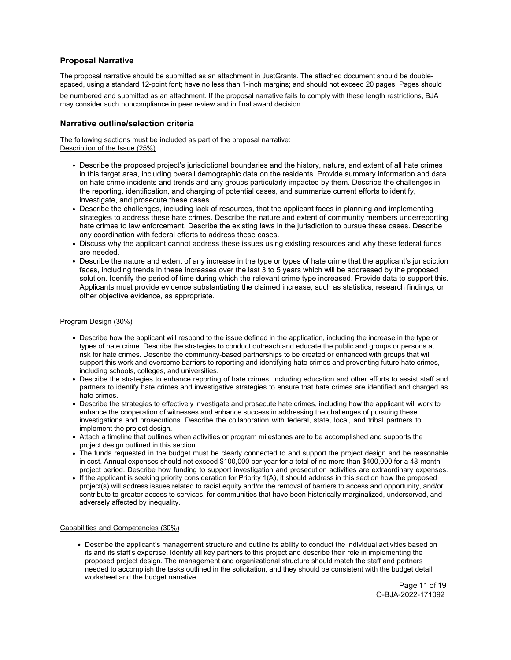# **Proposal Narrative**

The proposal narrative should be submitted as an attachment in JustGrants. The attached document should be doublespaced, using a standard 12-point font; have no less than 1-inch margins; and should not exceed 20 pages. Pages should

be numbered and submitted as an attachment. If the proposal narrative fails to comply with these length restrictions, BJA may consider such noncompliance in peer review and in final award decision.

### <span id="page-10-0"></span>**Narrative outline/selection criteria**

The following sections must be included as part of the proposal narrative: Description of the Issue (25%)

- Describe the proposed project's jurisdictional boundaries and the history, nature, and extent of all hate crimes in this target area, including overall demographic data on the residents. Provide summary information and data on hate crime incidents and trends and any groups particularly impacted by them. Describe the challenges in the reporting, identification, and charging of potential cases, and summarize current efforts to identify, investigate, and prosecute these cases.
- Describe the challenges, including lack of resources, that the applicant faces in planning and implementing strategies to address these hate crimes. Describe the nature and extent of community members underreporting hate crimes to law enforcement. Describe the existing laws in the jurisdiction to pursue these cases. Describe any coordination with federal efforts to address these cases.
- Discuss why the applicant cannot address these issues using existing resources and why these federal funds are needed.
- Describe the nature and extent of any increase in the type or types of hate crime that the applicant's jurisdiction faces, including trends in these increases over the last 3 to 5 years which will be addressed by the proposed solution. Identify the period of time during which the relevant crime type increased. Provide data to support this. Applicants must provide evidence substantiating the claimed increase, such as statistics, research findings, or other objective evidence, as appropriate.

### Program Design (30%)

- Describe how the applicant will respond to the issue defined in the application, including the increase in the type or types of hate crime. Describe the strategies to conduct outreach and educate the public and groups or persons at risk for hate crimes. Describe the community-based partnerships to be created or enhanced with groups that will support this work and overcome barriers to reporting and identifying hate crimes and preventing future hate crimes, including schools, colleges, and universities.
- Describe the strategies to enhance reporting of hate crimes, including education and other efforts to assist staff and partners to identify hate crimes and investigative strategies to ensure that hate crimes are identified and charged as hate crimes.
- Describe the strategies to effectively investigate and prosecute hate crimes, including how the applicant will work to enhance the cooperation of witnesses and enhance success in addressing the challenges of pursuing these investigations and prosecutions. Describe the collaboration with federal, state, local, and tribal partners to implement the project design.
- Attach a timeline that outlines when activities or program milestones are to be accomplished and supports the project design outlined in this section.
- The funds requested in the budget must be clearly connected to and support the project design and be reasonable in cost. Annual expenses should not exceed \$100,000 per year for a total of no more than \$400,000 for a 48-month project period. Describe how funding to support investigation and prosecution activities are extraordinary expenses.
- If the applicant is seeking priority consideration for Priority 1(A), it should address in this section how the proposed project(s) will address issues related to racial equity and/or the removal of barriers to access and opportunity, and/or contribute to greater access to services, for communities that have been historically marginalized, underserved, and adversely affected by inequality.

#### Capabilities and Competencies (30%)

Describe the applicant's management structure and outline its ability to conduct the individual activities based on its and its staff's expertise. Identify all key partners to this project and describe their role in implementing the proposed project design. The management and organizational structure should match the staff and partners needed to accomplish the tasks outlined in the solicitation, and they should be consistent with the budget detail worksheet and the budget narrative.

Page 11 of 19 O-BJA-2022-171092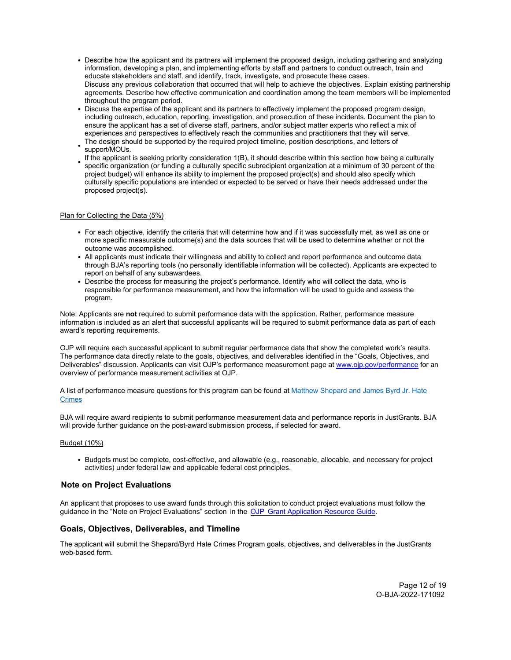- Describe how the applicant and its partners will implement the proposed design, including gathering and analyzing information, developing a plan, and implementing efforts by staff and partners to conduct outreach, train and educate stakeholders and staff, and identify, track, investigate, and prosecute these cases. Discuss any previous collaboration that occurred that will help to achieve the objectives. Explain existing partnership agreements. Describe how effective communication and coordination among the team members will be implemented throughout the program period.
- Discuss the expertise of the applicant and its partners to effectively implement the proposed program design, including outreach, education, reporting, investigation, and prosecution of these incidents. Document the plan to ensure the applicant has a set of diverse staff, partners, and/or subject matter experts who reflect a mix of experiences and perspectives to effectively reach the communities and practitioners that they will serve.
- The design should be supported by the required project timeline, position descriptions, and letters of support/MOUs.
- If the applicant is seeking priority consideration 1(B), it should describe within this section how being a culturally specific organization (or funding a culturally specific subrecipient organization at a minimum of 30 percent of the project budget) will enhance its ability to implement the proposed project(s) and should also specify which culturally specific populations are intended or expected to be served or have their needs addressed under the proposed project(s).

### Plan for Collecting the Data (5%)

- For each objective, identify the criteria that will determine how and if it was successfully met, as well as one or more specific measurable outcome(s) and the data sources that will be used to determine whether or not the outcome was accomplished.
- All applicants must indicate their willingness and ability to collect and report performance and outcome data through BJA's reporting tools (no personally identifiable information will be collected). Applicants are expected to report on behalf of any subawardees.
- Describe the process for measuring the project's performance. Identify who will collect the data, who is responsible for performance measurement, and how the information will be used to guide and assess the program.

Note: Applicants are **not** required to submit performance data with the application. Rather, performance measure information is included as an alert that successful applicants will be required to submit performance data as part of each award's reporting requirements.

OJP will require each successful applicant to submit regular performance data that show the completed work's results. The performance data directly relate to the goals, objectives, and deliverables identified in the "Goals, Objectives, and Deliverables" discussion. Applicants can visit OJP's performance measurement page at [www.ojp.gov/performance f](https://www.ojp.gov/performance)or an overview of performance measurement activities at OJP.

A list of performance measure questions for this program can be found at [Matthew Shepard and James Byrd Jr. Hate](https://bja.ojp.gov/sites/g/files/xyckuh186/files/media/document/Shepard-Hate-Crimes-Performance-Measures.pdf) **[Crimes](https://bja.ojp.gov/sites/g/files/xyckuh186/files/media/document/Shepard-Hate-Crimes-Performance-Measures.pdf)** 

BJA will require award recipients to submit performance measurement data and performance reports in JustGrants. BJA will provide further guidance on the post-award submission process, if selected for award.

#### Budget (10%)

Budgets must be complete, cost-effective, and allowable (e.g., reasonable, allocable, and necessary for project activities) under federal law and applicable federal cost principles.

# **Note on Project Evaluations**

An applicant that proposes to use award funds through this solicitation to conduct project evaluations must follow the guidance in the "Note on Project Evaluations" section in the [OJP Grant Application Resource Guide.](https://www.ojp.gov/funding/apply/ojp-grant-application-resource-guide#project-evaluations)

# <span id="page-11-0"></span>**Goals, Objectives, Deliverables, and Timeline**

The applicant will submit the Shepard/Byrd Hate Crimes Program goals, objectives, and deliverables in the JustGrants web-based form.

> Page 12 of 19 O-BJA-2022-171092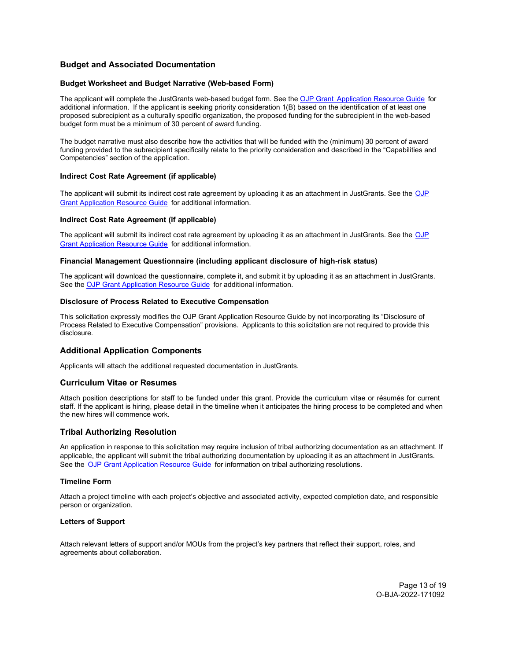# <span id="page-12-0"></span>**Budget and Associated Documentation**

#### <span id="page-12-1"></span>**Budget Worksheet and Budget Narrative (Web-based Form)**

The applicant will complete the JustGrants web-based budget form. See the OJP Grant [Application Resource Guide](https://www.ojp.gov/funding/apply/ojp-grant-application-resource-guide#budget-prep) for additional information. If the applicant is seeking priority consideration 1(B) based on the identification of at least one proposed subrecipient as a culturally specific organization, the proposed funding for the subrecipient in the web-based budget form must be a minimum of 30 percent of award funding.

The budget narrative must also describe how the activities that will be funded with the (minimum) 30 percent of award funding provided to the subrecipient specifically relate to the priority consideration and described in the "Capabilities and Competencies" section of the application.

### **Indirect Cost Rate Agreement (if applicable)**

The applicant will submit its indirect cost rate agreement by uploading it as an attachment in JustGrants. See the [OJP](https://www.ojp.gov/funding/apply/ojp-grant-application-resource-guide#budget-prep) [Grant Application Resource Guide](https://www.ojp.gov/funding/apply/ojp-grant-application-resource-guide#budget-prep) for additional information.

#### <span id="page-12-2"></span>**Indirect Cost Rate Agreement (if applicable)**

The applicant will submit its indirect cost rate agreement by uploading it as an attachment in JustGrants. See the [OJP](https://www.ojp.gov/funding/apply/ojp-grant-application-resource-guide#budget-prep) [Grant Application Resource Guide](https://www.ojp.gov/funding/apply/ojp-grant-application-resource-guide#budget-prep) for additional information.

#### <span id="page-12-3"></span>**Financial Management Questionnaire (including applicant disclosure of high-risk status)**

The applicant will download the questionnaire, complete it, and submit it by uploading it as an attachment in JustGrants. See th[e OJP Grant Application](https://www.ojp.gov/funding/apply/ojp-grant-application-resource-guide#fm-internal-controls-questionnaire) Resource Guide for additional information.

#### <span id="page-12-4"></span>**Disclosure of Process Related to Executive Compensation**

This solicitation expressly modifies the OJP Grant Application Resource Guide by not incorporating its "Disclosure of Process Related to Executive Compensation" provisions. Applicants to this solicitation are not required to provide this disclosure.

# <span id="page-12-5"></span>**Additional Application Components**

Applicants will attach the additional requested documentation in JustGrants.

# <span id="page-12-6"></span>**Curriculum Vitae or Resumes**

Attach position descriptions for staff to be funded under this grant. Provide the curriculum vitae or résumés for current staff. If the applicant is hiring, please detail in the timeline when it anticipates the hiring process to be completed and when the new hires will commence work.

# <span id="page-12-7"></span>**Tribal Authorizing Resolution**

An application in response to this solicitation may require inclusion of tribal authorizing documentation as an attachment. If applicable, the applicant will submit the tribal authorizing documentation by uploading it as an attachment in JustGrants. See the [OJP Grant Application Resource Guide](https://www.ojp.gov/funding/apply/ojp-grant-application-resource-guide#tribal-authorizing-resolution) for information on tribal authorizing resolutions.

#### <span id="page-12-8"></span>**Timeline Form**

Attach a project timeline with each project's objective and associated activity, expected completion date, and responsible person or organization.

### <span id="page-12-9"></span>**Letters of Support**

Attach relevant letters of support and/or MOUs from the project's key partners that reflect their support, roles, and agreements about collaboration.

> Page 13 of 19 O-BJA-2022-171092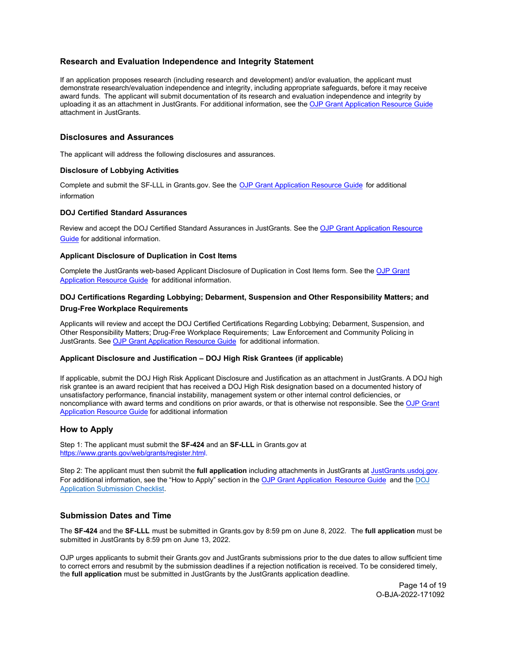# <span id="page-13-0"></span>**Research and Evaluation Independence and Integrity Statement**

If an application proposes research (including research and development) and/or evaluation, the applicant must demonstrate research/evaluation independence and integrity, including appropriate safeguards, before it may receive award funds. The applicant will submit documentation of its research and evaluation independence and integrity by uploading it as an attachment in JustGrants. For additional information, see the [OJP Grant Application Resource Guide](https://www.ojp.gov/funding/apply/ojp-grant-application-resource-guide#research-evaluation) attachment in JustGrants.

# <span id="page-13-1"></span>**Disclosures and Assurances**

The applicant will address the following disclosures and assurances.

### <span id="page-13-2"></span>**Disclosure of Lobbying Activities**

Complete and submit the SF-LLL in Grants.gov. See the [OJP Grant Application Resource Guide](https://www.ojp.gov/funding/apply/ojp-grant-application-resource-guide#apply) for additional information

### <span id="page-13-3"></span>**DOJ Certified Standard Assurances**

Review and accept the DOJ Certified Standard Assurances in JustGrants. See the [OJP Grant Application Resource](https://www.ojp.gov/funding/apply/ojp-grant-application-resource-guide#administrative) [Guide f](https://www.ojp.gov/funding/apply/ojp-grant-application-resource-guide#administrative)or additional information.

# <span id="page-13-4"></span>**Applicant Disclosure of Duplication in Cost Items**

Complete the JustGrants web-based Applicant Disclosure of Duplication in Cost Items form. See the [OJP Grant](https://www.ojp.gov/funding/apply/ojp-grant-application-resource-guide#applicant-disclosure-pending-applications) [Application Resource Guide](https://www.ojp.gov/funding/apply/ojp-grant-application-resource-guide#applicant-disclosure-pending-applications) for additional information.

# <span id="page-13-5"></span>**DOJ Certifications Regarding Lobbying; Debarment, Suspension and Other Responsibility Matters; and Drug-Free Workplace Requirements**

Applicants will review and accept the DOJ Certified Certifications Regarding Lobbying; Debarment, Suspension, and Other Responsibility Matters; Drug-Free Workplace Requirements; Law Enforcement and Community Policing in JustGrants. See [OJP Grant Application Resource Guide](https://www.ojp.gov/funding/apply/ojp-grant-application-resource-guide#administrative) for additional information.

### <span id="page-13-6"></span>**Applicant Disclosure and Justification – DOJ High Risk Grantees (if applicable)**

If applicable, submit the DOJ High Risk Applicant Disclosure and Justification as an attachment in JustGrants. A DOJ high risk grantee is an award recipient that has received a DOJ High Risk designation based on a documented history of unsatisfactory performance, financial instability, management system or other internal control deficiencies, or noncompliance with award terms and conditions on prior awards, or that is otherwise not responsible. See th[e OJP Grant](https://www.ojp.gov/funding/apply/ojp-grant-application-resource-guide#applicant-disclosure-justification)  [Application Resource Guide](https://www.ojp.gov/funding/apply/ojp-grant-application-resource-guide#applicant-disclosure-justification) for additional information

# <span id="page-13-7"></span>**How to Apply**

Step 1: The applicant must submit the **SF-424** and an **SF-LLL** in Grants.gov at [https://www.grants.gov/web/grants/register.html.](https://www.grants.gov/web/grants/register.html)

Step 2: The applicant must then submit the **full application** including attachments in JustGrants at [JustGrants.usdoj.gov.](https://justicegrants.usdoj.gov/)  For additional information, see the "How to Apply" section in the [OJP Grant Application Resource Guide](https://www.ojp.gov/funding/apply/ojp-grant-application-resource-guide#apply) and the [DOJ](https://justicegrants.usdoj.gov/sites/g/files/xyckuh296/files/media/document/appln-submission-checklist.pdf) [Application Submission Checklist.](https://justicegrants.usdoj.gov/sites/g/files/xyckuh296/files/media/document/appln-submission-checklist.pdf)

# <span id="page-13-8"></span>**Submission Dates and Time**

The **SF-424** and the **SF-LLL** must be submitted in Grants.gov by 8:59 pm on June 8, 2022. The **full application** must be submitted in JustGrants by 8:59 pm on June 13, 2022.

OJP urges applicants to submit their Grants.gov and JustGrants submissions prior to the due dates to allow sufficient time to correct errors and resubmit by the submission deadlines if a rejection notification is received. To be considered timely, the **full application** must be submitted in JustGrants by the JustGrants application deadline.

> Page 14 of 19 O-BJA-2022-171092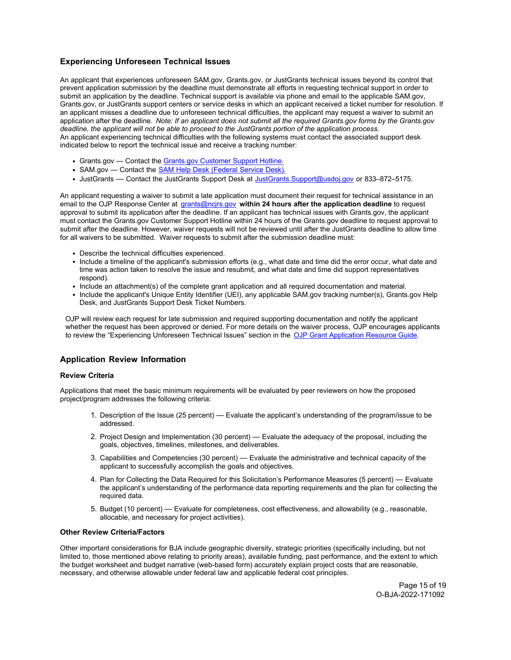# **Experiencing Unforeseen Technical Issues**

An applicant that experiences unforeseen SAM.gov, Grants.gov, or JustGrants technical issues beyond its control that prevent application submission by the deadline must demonstrate all efforts in requesting technical support in order to submit an application by the deadline. Technical support is available via phone and email to the applicable SAM.gov, Grants.gov, or JustGrants support centers or service desks in which an applicant received a ticket number for resolution. If an applicant misses a deadline due to unforeseen technical difficulties, the applicant may request a waiver to submit an application after the deadline. *Note: If an applicant does not submit all the required Grants.gov forms by the Grants.gov deadline, the applicant will not be able to proceed to the JustGrants portion of the application process.* An applicant experiencing technical difficulties with the following systems must contact the associated support desk indicated below to report the technical issue and receive a tracking number:

- Grants.gov Contact the [Grants.gov Customer Support Hotline.](https://www.grants.gov/web/grants/support.html)
- SAM.gov Contact the SAM [Help Desk \(Federal Service Desk\).](https://www.fsd.gov/gsafsd_sp)
- JustGrants Contact the JustGrants Support Desk at [JustGrants.Support@usdoj.gov o](mailto:JustGrants.Support@usdoj.gov)r 833–872–5175.

An applicant requesting a waiver to submit a late application must document their request for technical assistance in an email to the OJP Response Center at grants@ncjrs.gov **within 24 hours after the application deadline** to request approval to submit its application after the deadline. If an applicant has technical issues with Grants.gov, the applicant must contact the Grants.gov Customer Support Hotline within 24 hours of the Grants.gov deadline to request approval to submit after the deadline. However, waiver requests will not be reviewed until after the JustGrants deadline to allow time for all waivers to be submitted. Waiver requests to submit after the submission deadline must:

- Describe the technical difficulties experienced.
- Include a timeline of the applicant's submission efforts (e.g., what date and time did the error occur, what date and time was action taken to resolve the issue and resubmit, and what date and time did support representatives respond).
- Include an attachment(s) of the complete grant application and all required documentation and material.
- Include the applicant's Unique Entity Identifier (UEI), any applicable SAM.gov tracking number(s), Grants.gov Help Desk, and JustGrants Support Desk Ticket Numbers.

OJP will review each request for late submission and required supporting documentation and notify the applicant whether the request has been approved or denied. For more details on the waiver process, OJP encourages applicants to review the "Experiencing Unforeseen Technical Issues" section in the [OJP Grant Application Resource Guide](https://www.ojp.gov/funding/apply/ojp-grant-application-resource-guide#experiencing-unforeseen-technical-issues)*.* 

# <span id="page-14-0"></span>**Application Review Information**

### <span id="page-14-1"></span>**Review Criteria**

Applications that meet the basic minimum requirements will be evaluated by peer reviewers on how the proposed project/program addresses the following criteria:

- 1. Description of the Issue (25 percent) Evaluate the applicant's understanding of the program/issue to be addressed.
- 2. Project Design and Implementation (30 percent) Evaluate the adequacy of the proposal, including the goals, objectives, timelines, milestones, and deliverables.
- 3. Capabilities and Competencies (30 percent) Evaluate the administrative and technical capacity of the applicant to successfully accomplish the goals and objectives.
- 4. Plan for Collecting the Data Required for this Solicitation's Performance Measures (5 percent) Evaluate the applicant's understanding of the performance data reporting requirements and the plan for collecting the required data.
- 5. Budget (10 percent) Evaluate for completeness, cost effectiveness, and allowability (e.g., reasonable, allocable, and necessary for project activities).

#### <span id="page-14-2"></span>**Other Review Criteria/Factors**

Other important considerations for BJA include geographic diversity, strategic priorities (specifically including, but not limited to, those mentioned above relating to priority areas), available funding, past performance, and the extent to which the budget worksheet and budget narrative (web-based form) accurately explain project costs that are reasonable, necessary, and otherwise allowable under federal law and applicable federal cost principles.

> Page 15 of 19 O-BJA-2022-171092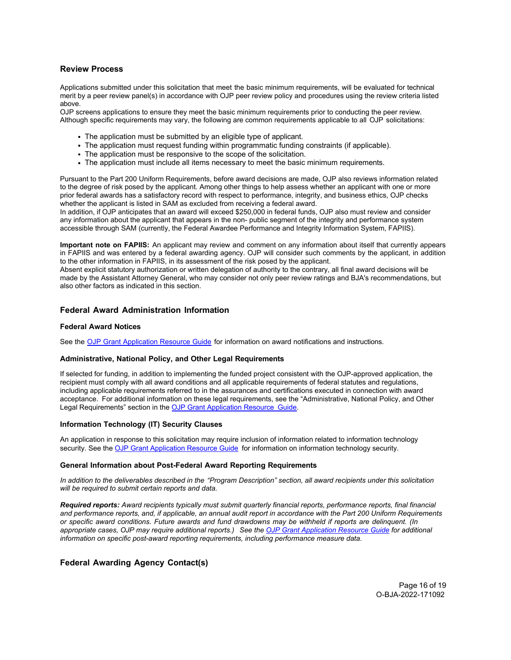# <span id="page-15-0"></span>**Review Process**

Applications submitted under this solicitation that meet the basic minimum requirements, will be evaluated for technical merit by a peer review panel(s) in accordance with OJP peer review policy and procedures using the review criteria listed above.

OJP screens applications to ensure they meet the basic minimum requirements prior to conducting the peer review. Although specific requirements may vary, the following are common requirements applicable to all OJP solicitations:

- The application must be submitted by an eligible type of applicant.
- The application must request funding within programmatic funding constraints (if applicable).
- The application must be responsive to the scope of the solicitation.
- The application must include all items necessary to meet the basic minimum requirements.

Pursuant to the Part 200 Uniform Requirements, before award decisions are made, OJP also reviews information related to the degree of risk posed by the applicant. Among other things to help assess whether an applicant with one or more prior federal awards has a satisfactory record with respect to performance, integrity, and business ethics, OJP checks whether the applicant is listed in SAM as excluded from receiving a federal award.

In addition, if OJP anticipates that an award will exceed \$250,000 in federal funds, OJP also must review and consider any information about the applicant that appears in the non- public segment of the integrity and performance system accessible through SAM (currently, the Federal Awardee Performance and Integrity Information System, FAPIIS).

**Important note on FAPIIS:** An applicant may review and comment on any information about itself that currently appears in FAPIIS and was entered by a federal awarding agency. OJP will consider such comments by the applicant, in addition to the other information in FAPIIS, in its assessment of the risk posed by the applicant.

Absent explicit statutory authorization or written delegation of authority to the contrary, all final award decisions will be made by the Assistant Attorney General, who may consider not only peer review ratings and BJA's recommendations, but also other factors as indicated in this section.

### <span id="page-15-1"></span>**Federal Award Administration Information**

#### <span id="page-15-2"></span>**Federal Award Notices**

See the [OJP Grant Application Resource Guide](https://www.ojp.gov/funding/apply/ojp-grant-application-resource-guide#federal-award-notices) for information on award notifications and instructions.

#### <span id="page-15-3"></span>**Administrative, National Policy, and Other Legal Requirements**

If selected for funding, in addition to implementing the funded project consistent with the OJP-approved application, the recipient must comply with all award conditions and all applicable requirements of federal statutes and regulations, including applicable requirements referred to in the assurances and certifications executed in connection with award acceptance. For additional information on these legal requirements, see the "Administrative, National Policy, and Other Legal Requirements" section in th[e OJP Grant Application Resource Guide.](https://www.ojp.gov/funding/apply/ojp-grant-application-resource-guide#administrative) 

#### <span id="page-15-4"></span>**Information Technology (IT) Security Clauses**

An application in response to this solicitation may require inclusion of information related to information technology security. See th[e OJP Grant Application Resource Guide](https://www.ojp.gov/funding/apply/ojp-grant-application-resource-guide#information-technology) for information on information technology security.

#### <span id="page-15-5"></span>**General Information about Post-Federal Award Reporting Requirements**

*In addition to the deliverables described in the "Program Description" section, all award recipients under this solicitation will be required to submit certain reports and data.*

*Required reports: Award recipients typically must submit quarterly financial reports, performance reports, final financial and performance reports, and, if applicable, an annual audit report in accordance with the Part 200 Uniform Requirements or specific award conditions. Future awards and fund drawdowns may be withheld if reports are delinquent. (In appropriate cases, OJP may require additional reports.) See the [OJP Grant Application Resource Guide](https://www.ojp.gov/funding/apply/ojp-grant-application-resource-guide#general-information) for additional information on specific post-award reporting requirements, including performance measure data.*

# <span id="page-15-6"></span>**Federal Awarding Agency Contact(s)**

Page 16 of 19 O-BJA-2022-171092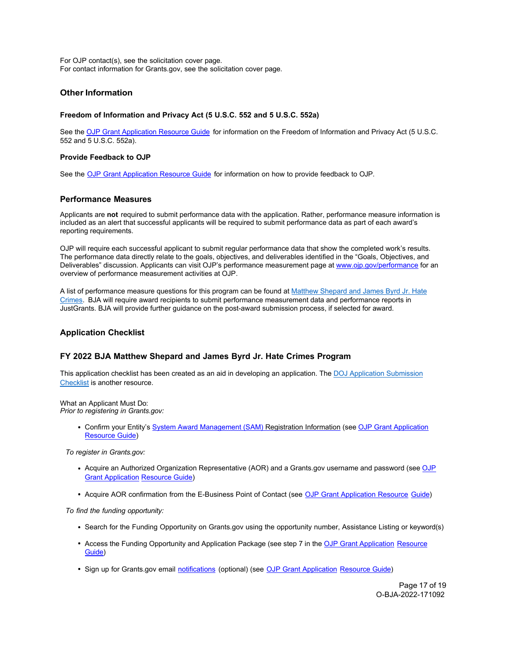For OJP contact(s), see the solicitation cover page. For contact information for Grants.gov, see the solicitation cover page.

# <span id="page-16-0"></span>**Other Information**

### <span id="page-16-1"></span>**Freedom of Information and Privacy Act (5 U.S.C. 552 and 5 U.S.C. 552a)**

See th[e OJP Grant Application Resource Guide](https://www.ojp.gov/funding/apply/ojp-grant-application-resource-guide#foia) for information on the Freedom of Information and Privacy Act (5 U.S.C. 552 and 5 U.S.C. 552a).

### <span id="page-16-2"></span>**Provide Feedback to OJP**

See the [OJP Grant Application Resource Guide](https://www.ojp.gov/funding/apply/ojp-grant-application-resource-guide#feedback) for information on how to provide feedback to OJP.

# <span id="page-16-3"></span>**Performance Measures**

Applicants are **not** required to submit performance data with the application. Rather, performance measure information is included as an alert that successful applicants will be required to submit performance data as part of each award's reporting requirements.

OJP will require each successful applicant to submit regular performance data that show the completed work's results. The performance data directly relate to the goals, objectives, and deliverables identified in the "Goals, Objectives, and Deliverables" discussion. Applicants can visit OJP's performance measurement page at [www.ojp.gov/performance f](https://www.ojp.gov/performance)or an overview of performance measurement activities at OJP.

A list of performance measure questions for this program can be found at [Matthew Shepard and James Byrd Jr. Hate](https://bja.ojp.gov/sites/g/files/xyckuh186/files/media/document/Shepard-Hate-Crimes-Performance-Measures.pdf) [Crimes.](https://bja.ojp.gov/sites/g/files/xyckuh186/files/media/document/Shepard-Hate-Crimes-Performance-Measures.pdf) BJA will require award recipients to submit performance measurement data and performance reports in JustGrants. BJA will provide further guidance on the post-award submission process, if selected for award.

# <span id="page-16-4"></span>**Application Checklist**

# **FY 2022 BJA Matthew Shepard and James Byrd Jr. Hate Crimes Program**

This application checklist has been created as an aid in developing an application. The [DOJ Application Submission](https://justicegrants.usdoj.gov/sites/g/files/xyckuh296/files/media/document/appln-submission-checklist.pdf) [Checklist is](https://justicegrants.usdoj.gov/sites/g/files/xyckuh296/files/media/document/appln-submission-checklist.pdf) another resource.

<span id="page-16-5"></span>What an Applicant Must Do: *Prior to registering in Grants.gov:*

> Confirm your Entity'[s System Award Management \(SAM\)](https://sam.gov/SAM/) Registration Information (se[e OJP Grant Application](https://www.ojp.gov/funding/apply/ojp-grant-application-resource-guide#apply) [Resource Guide\)](https://www.ojp.gov/funding/apply/ojp-grant-application-resource-guide#apply)

*To register in Grants.gov:*

- Acquire an Authorized Organization Representative (AOR) and a Grants.gov username and password (see [OJP](https://www.ojp.gov/funding/apply/ojp-grant-application-resource-guide#apply) [Grant Application](https://www.ojp.gov/funding/apply/ojp-grant-application-resource-guide#apply) [Resource Guide\)](https://www.ojp.gov/funding/apply/ojp-grant-application-resource-guide#apply)
- Acquire AOR confirmation from the E-Business Point of Contact (see [OJP Grant Application Resource Guide\)](https://www.ojp.gov/funding/apply/ojp-grant-application-resource-guide#apply)

*To find the funding opportunity:*

- Search for the Funding Opportunity on Grants.gov using the opportunity number, Assistance Listing or keyword(s)
- Access the Funding Opportunity and Application Package (see step 7 in th[e OJP Grant Application](https://www.ojp.gov/funding/apply/ojp-grant-application-resource-guide#apply) [Resource](https://www.ojp.gov/funding/apply/ojp-grant-application-resource-guide#apply) [Guide\)](https://www.ojp.gov/funding/apply/ojp-grant-application-resource-guide#apply)
- Sign up for Grants.gov email [notifications \(](https://www.grants.gov/web/grants/manage-subscriptions.html)optional) (see [OJP Grant Application Resource Guide\)](https://www.ojp.gov/funding/apply/ojp-grant-application-resource-guide#apply)

Page 17 of 19 O-BJA-2022-171092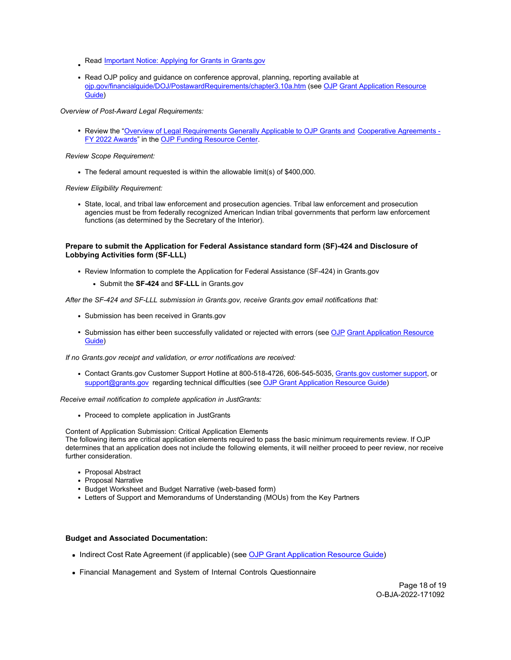- Read **Important Notice: Applying for Grants in Grants.gov**
- Read OJP policy and guidance on conference approval, planning, reporting available at [ojp.gov/financialguide/DOJ/PostawardRequirements/chapter3.10a.htm \(](https://ojp.gov/financialguide/DOJ/PostawardRequirements/chapter3.10a.htm)see [OJP](https://www.ojp.gov/funding/apply/ojp-grant-application-resource-guide#prior-approval) [Grant Application Resource](https://www.ojp.gov/funding/apply/ojp-grant-application-resource-guide#prior-approval) [Guide\)](https://www.ojp.gov/funding/apply/ojp-grant-application-resource-guide#prior-approval)

*Overview of Post-Award Legal Requirements:*

Review the ["Overview of Legal Requirements Generally Applicable to OJP Grants and](https://www.ojp.gov/funding/explore/legal-overview-fy-2022-awards) [Cooperative Agreements -](https://www.ojp.gov/funding/explore/legal-overview-fy-2022-awards) [FY 2022 Awards"](https://www.ojp.gov/funding/explore/legal-overview-fy-2022-awards) in the [OJP Funding Resource Center.](https://www.ojp.gov/funding/index.htm)

#### *Review Scope Requirement:*

The federal amount requested is within the allowable limit(s) of \$400,000.

*Review Eligibility Requirement:*

State, local, and tribal law enforcement and prosecution agencies. Tribal law enforcement and prosecution agencies must be from federally recognized American Indian tribal governments that perform law enforcement functions (as determined by the Secretary of the Interior).

#### **Prepare to submit the Application for Federal Assistance standard form (SF)-424 and Disclosure of Lobbying Activities form (SF-LLL)**

- Review Information to complete the Application for Federal Assistance (SF-424) in Grants.gov
	- Submit the **SF-424** and **SF-LLL** in Grants.gov

*After the SF-424 and SF-LLL submission in Grants.gov, receive Grants.gov email notifications that:*

- Submission has been received in Grants.gov
- Submission has either been successfully validated or rejected with errors (see [OJP](https://www.ojp.gov/funding/apply/ojp-grant-application-resource-guide#apply) [Grant Application Resource](https://www.ojp.gov/funding/apply/ojp-grant-application-resource-guide#apply) [Guide\)](https://www.ojp.gov/funding/apply/ojp-grant-application-resource-guide#apply)

*If no Grants.gov receipt and validation, or error notifications are received:*

Contact Grants.gov Customer Support Hotline at 800-518-4726, 606-545-5035, [Grants.gov customer support,](https://www.grants.gov/web/grants/support.html) or [support@grants.gov r](mailto:support@grants.gov)egarding technical difficulties (se[e OJP Grant Application Resource Guide\)](https://www.ojp.gov/funding/apply/ojp-grant-application-resource-guide#apply)

*Receive email notification to complete application in JustGrants:*

• Proceed to complete application in JustGrants

Content of Application Submission: Critical Application Elements

The following items are critical application elements required to pass the basic minimum requirements review. If OJP determines that an application does not include the following elements, it will neither proceed to peer review, nor receive further consideration.

- Proposal Abstract
- Proposal Narrative
- Budget Worksheet and Budget Narrative (web-based form)
- Letters of Support and Memorandums of Understanding (MOUs) from the Key Partners

#### **Budget and Associated Documentation:**

- Indirect Cost Rate Agreement (if applicable) (see OJP Grant [Application](https://www.ojp.gov/funding/apply/ojp-grant-application-resource-guide#indirect-cost) Resource Guide)
- Financial Management and System of Internal Controls Questionnaire